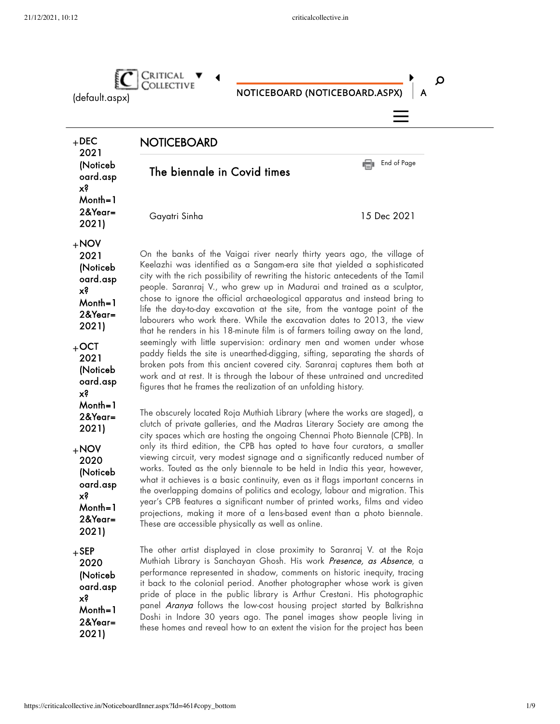